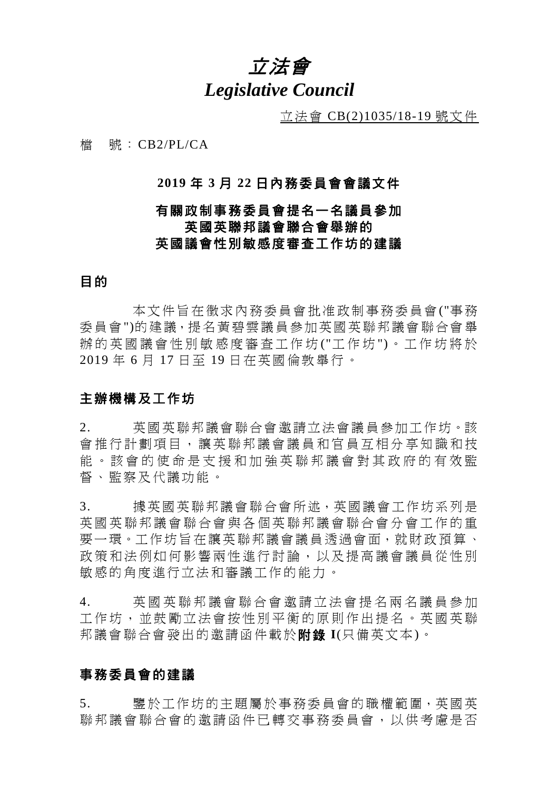## 立法會 *Legislative Council*

立法會 CB(2)1035/18-19 號文件

檔 號:CB2/PL/CA

## **2019** 年 **3** 月 **22** 日內務委員會會議文件

## 有關政制事務委員會提名一名議員參加 英國英聯邦議會聯合會舉辦的 英國議會性別敏感度審查工作坊的建議

## 目的

本文件旨在徵求內務委員會批准政制事務委員會("事務 委員會")的建議,提名黃碧雲議員參加英國英聯邦議會聯合會舉 辦的英國議會性別敏感度審查工作坊("工作坊")。工作坊將於 2019 年 6 月 17 日至 19 日在英國倫敦舉行。

## 主辦機構及工作坊

2. 英國英聯邦議會聯合會邀請立法會議員參加工作坊。該 會推行計劃項目,讓英聯邦議會議員和官員互相分享知識和技 能。該會的使命是支援和加強英聯邦議會對其政府的有效監 督、監察及代議功能。

3. 據英國英聯邦議會聯合會所述,英國議會工作坊系列是 英國英聯邦議會聯合會與各個英聯邦議會聯合會分會工作的重 要一環。工作坊旨在讓英聯邦議會議員透過會面,就財政預算、 政策和法例如何影響兩性進行討論,以及提高議會議員從性別 敏感的角度進行立法和審議工作的能力。

4. 英國英聯邦議會聯合會 邀請立法會提名兩名 議員參加 工作坊,並鼓勵立法會按性別平衡的原則作出提名。英國英聯 邦議會聯合會發出的邀請函件載於附錄 **I**(只備英文本)。

## 事務委員會的建議

5. 鑒於工作坊的主題屬於事務委員會的職權範圍,英國英 聯邦議會聯合會的邀請函件已轉交事務委員會,以供考慮是否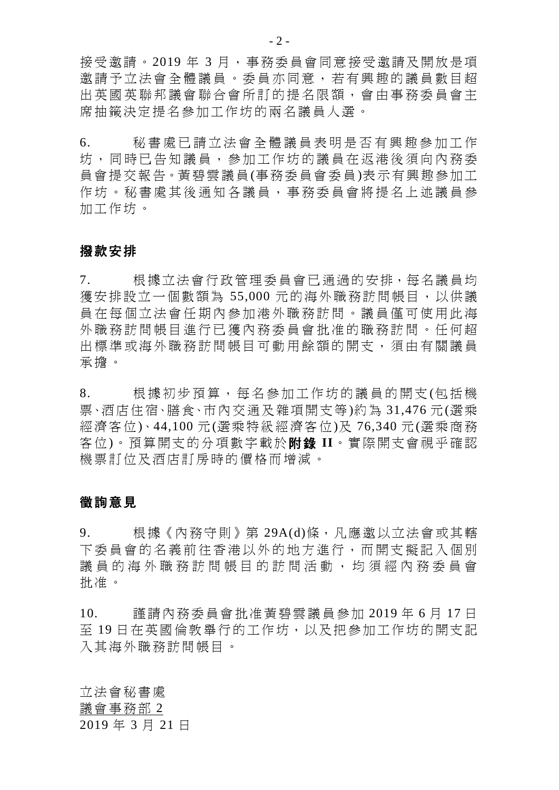接受邀請。2019 年 3 月,事務委員會同意接受邀請及開放是項 邀請予 立法會全體議員 。委員亦同意, 若有興趣的議員數目超 出英國英聯邦議會聯合會所訂的提名限額,會 由事務委員會主 席抽籤決定提名參加工作坊的兩名議員人選。

6. 秘書處已請立法會全體議員表明是否有興趣參加工作 坊 ,同時已告知議員, 參加工作坊的議員在返港後 須向內務委 員會提交報告。黃碧雲議員(事務委員會委員)表示有興趣參加工 作坊。秘書處其後通知各議員,事務委員會將提名上述議員參 加工作坊。

### 撥款安排

7. 根據立法會行政管理委員會已通過的安排,每名議員均 獲安排設立一個數額為 55,000 元的海外職務訪問帳目,以供議 員在每個立法會任期內參加港外職務訪問。議員僅可使用此海 外職務訪問帳目進行已獲內務委員會批准的職務訪問。任何超 出標準或海外職務訪問帳目可動用餘額的開支,須由有關議員 承擔。

8. 根據初步預算,每名參加 工作坊的議員的開支 (包括機 票、酒店住宿、膳食、市內交通及雜項開支等)約為 31,476 元(選乘 經濟客位)、44,100 元(選乘特級經濟客位)及 76,340 元(選乘商務 客位)。預算開支的分項數字載於附錄 **II**。實際開支會視乎確認 機票訂位及酒店訂房時的價格而增減。

### 徵詢意見

9. 根據《內務守則》第 29A(d)條,凡應邀以立法會或其轄 下委員會的名義前往香港以外的地方進行,而開支擬記入個別 議員的海外職務訪問帳目的訪問活動,均須經內務委員會 批准。

10. 謹請內務委員會批准黃碧雲議員參加 2019 年 6 月 17 日 至19日在英國倫敦舉行的工作坊,以及把參加工作坊的開支記 入其海外職務訪問帳目。

立法會秘書處 議會事務部 2 2019 年 3 月 21 日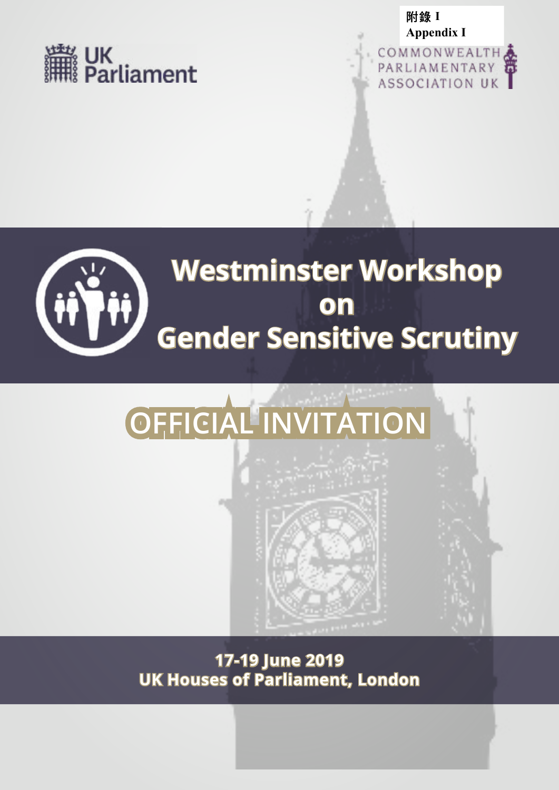





## **Westminster Workshop on Gender Sensitive Scrutiny**

# **OFFICIAL INVITATION**

**17-19 June 2019 UK Houses of Parliament, London**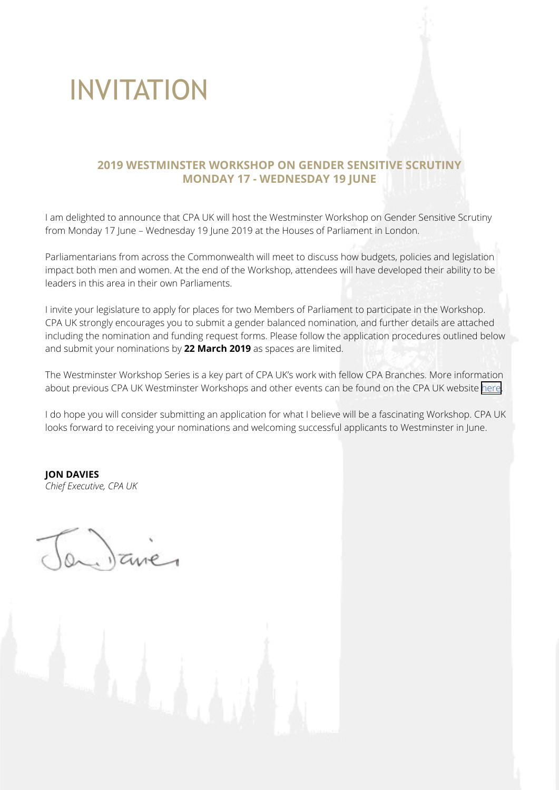## INVITATION

## **2019 WESTMINSTER WORKSHOP ON GENDER SENSITIVE SCRUTINY MONDAY 17 - WEDNESDAY 19 JUNE**

I am delighted to announce that CPA UK will host the Westminster Workshop on Gender Sensitive Scrutiny from Monday 17 June – Wednesday 19 June 2019 at the Houses of Parliament in London.

Parliamentarians from across the Commonwealth will meet to discuss how budgets, policies and legislation impact both men and women. At the end of the Workshop, attendees will have developed their ability to be leaders in this area in their own Parliaments.

I invite your legislature to apply for places for two Members of Parliament to participate in the Workshop. CPA UK strongly encourages you to submit a gender balanced nomination, and further details are attached including the nomination and funding request forms. Please follow the application procedures outlined below and submit your nominations by **22 March 2019** as spaces are limited.

The Westminster Workshop Series is a key part of CPA UK's work with fellow CPA Branches. More information about previous CPA UK Westminster Workshops and other events can be found on the CPA UK website [here.](https://www.uk-cpa.org/programmes-activities?time=Archived&year=&country=)

I do hope you will consider submitting an application for what I believe will be a fascinating Workshop. CPA UK looks forward to receiving your nominations and welcoming successful applicants to Westminster in June.

**JON DAVIES** *Chief Executive, CPA UK*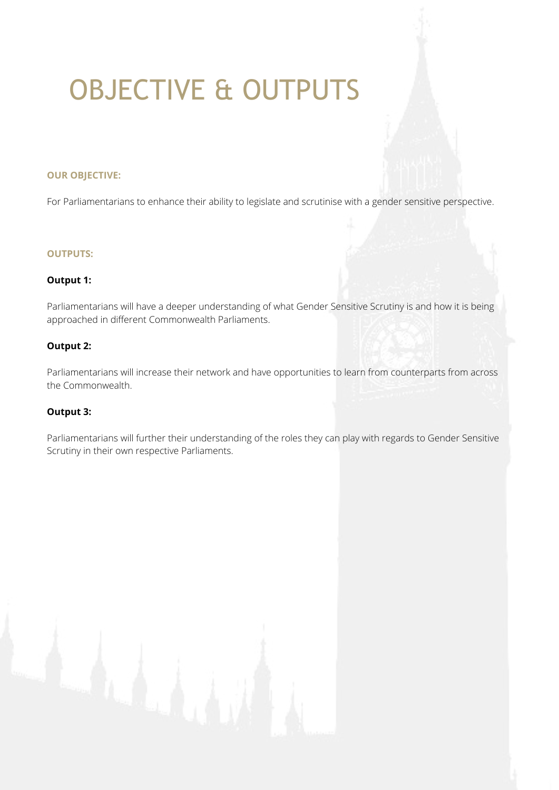# OBJECTIVE & OUTPUTS

#### **OUR OBJECTIVE:**

For Parliamentarians to enhance their ability to legislate and scrutinise with a gender sensitive perspective.

#### **OUTPUTS:**

#### **Output 1:**

Parliamentarians will have a deeper understanding of what Gender Sensitive Scrutiny is and how it is being approached in different Commonwealth Parliaments.

#### **Output 2:**

Parliamentarians will increase their network and have opportunities to learn from counterparts from across the Commonwealth.

#### **Output 3:**

Parliamentarians will further their understanding of the roles they can play with regards to Gender Sensitive Scrutiny in their own respective Parliaments.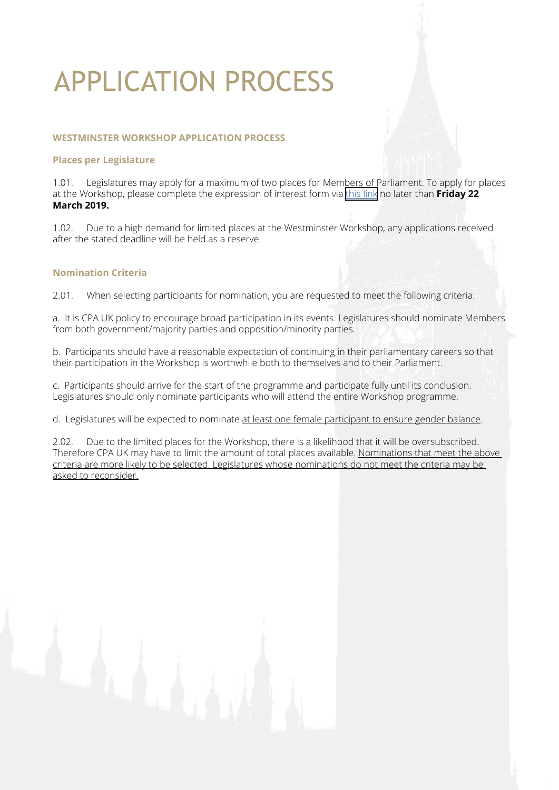## APPLICATION PROCESS

#### **WESTMINSTER WORKSHOP APPLICATION PROCESS**

#### **Places per Legislature**

1.01. Legislatures may apply for a maximum of two places for Members of Parliament. To apply for places at the Workshop, please complete the expression of interest form via [this link](https://www.uk-cpa.org/programmes-activities/westminster-workshop-on-gender-sensitive-scrutiny) no later than **Friday 22 March 2019.**

1.02. Due to a high demand for limited places at the Westminster Workshop, any applications received after the stated deadline will be held as a reserve.

#### **Nomination Criteria**

2.01. When selecting participants for nomination, you are requested to meet the following criteria:

a. It is CPA UK policy to encourage broad participation in its events. Legislatures should nominate Members from both government/majority parties and opposition/minority parties.

b. Participants should have a reasonable expectation of continuing in their parliamentary careers so that their participation in the Workshop is worthwhile both to themselves and to their Parliament.

c. Participants should arrive for the start of the programme and participate fully until its conclusion. Legislatures should only nominate participants who will attend the entire Workshop programme.

d. Legislatures will be expected to nominate at least one female participant to ensure gender balance.

2.02. Due to the limited places for the Workshop, there is a likelihood that it will be oversubscribed. Therefore CPA UK may have to limit the amount of total places available. Nominations that meet the above criteria are more likely to be selected. Legislatures whose nominations do not meet the criteria may be asked to reconsider.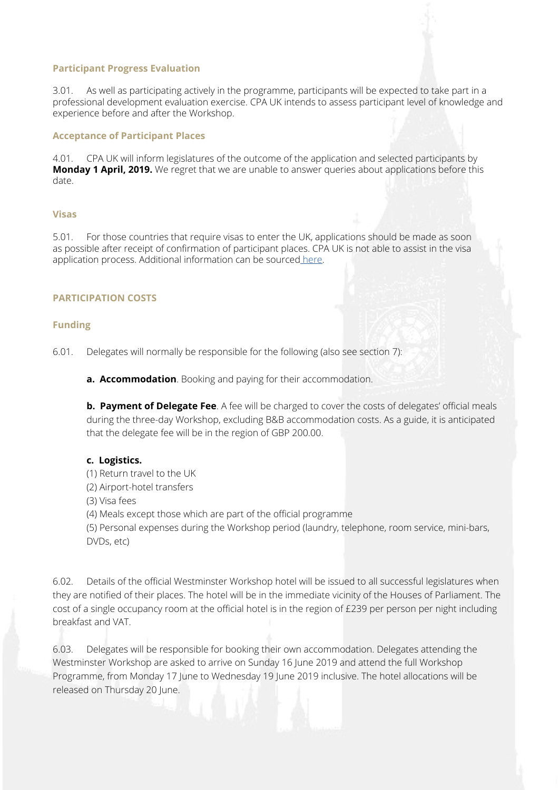#### **Participant Progress Evaluation**

3.01. As well as participating actively in the programme, participants will be expected to take part in a professional development evaluation exercise. CPA UK intends to assess participant level of knowledge and experience before and after the Workshop.

#### **Acceptance of Participant Places**

4.01. CPA UK will inform legislatures of the outcome of the application and selected participants by **Monday 1 April, 2019.** We regret that we are unable to answer queries about applications before this date.

#### **Visas**

5.01. For those countries that require visas to enter the UK, applications should be made as soon as possible after receipt of confirmation of participant places. CPA UK is not able to assist in the visa application process. Additional information can be sourced [here](https://www.gov.uk/browse/visas-immigration 
).

#### **PARTICIPATION COSTS**

#### **Funding**

6.01. Delegates will normally be responsible for the following (also see section 7):

**a. Accommodation**. Booking and paying for their accommodation.

**b. Payment of Delegate Fee**. A fee will be charged to cover the costs of delegates' official meals during the three-day Workshop, excluding B&B accommodation costs. As a guide, it is anticipated that the delegate fee will be in the region of GBP 200.00.

#### **c. Logistics.**

- (1) Return travel to the UK
- (2) Airport-hotel transfers
- (3) Visa fees

(4) Meals except those which are part of the official programme

(5) Personal expenses during the Workshop period (laundry, telephone, room service, mini-bars, DVDs, etc)

6.02. Details of the official Westminster Workshop hotel will be issued to all successful legislatures when they are notified of their places. The hotel will be in the immediate vicinity of the Houses of Parliament. The cost of a single occupancy room at the official hotel is in the region of £239 per person per night including breakfast and VAT.

6.03. Delegates will be responsible for booking their own accommodation. Delegates attending the Westminster Workshop are asked to arrive on Sunday 16 June 2019 and attend the full Workshop Programme, from Monday 17 June to Wednesday 19 June 2019 inclusive. The hotel allocations will be released on Thursday 20 June.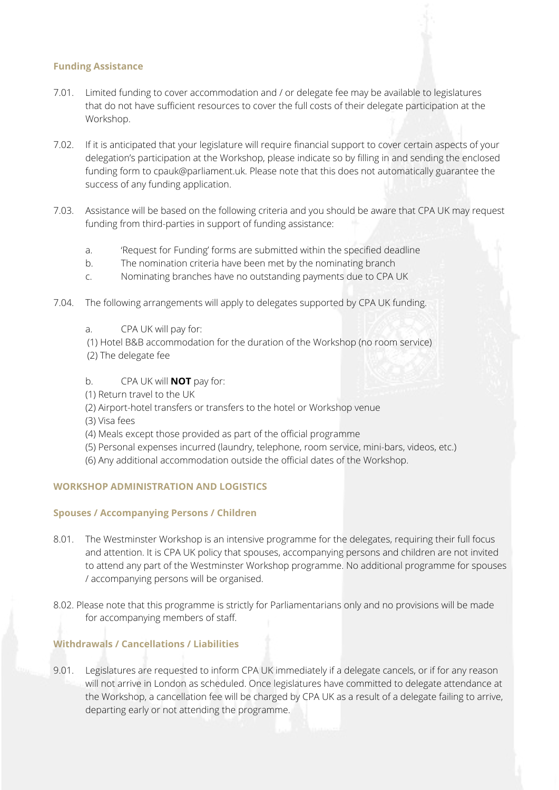#### **Funding Assistance**

- 7.01. Limited funding to cover accommodation and / or delegate fee may be available to legislatures that do not have sufficient resources to cover the full costs of their delegate participation at the Workshop.
- 7.02. If it is anticipated that your legislature will require financial support to cover certain aspects of your delegation's participation at the Workshop, please indicate so by filling in and sending the enclosed funding form to cpauk@parliament.uk. Please note that this does not automatically guarantee the success of any funding application.
- 7.03. Assistance will be based on the following criteria and you should be aware that CPA UK may request funding from third-parties in support of funding assistance:
	- a. 'Request for Funding' forms are submitted within the specified deadline
	- b. The nomination criteria have been met by the nominating branch
	- c. Nominating branches have no outstanding payments due to CPA UK
- 7.04. The following arrangements will apply to delegates supported by CPA UK funding.
	- a. CPA UK will pay for:
	- (1) Hotel B&B accommodation for the duration of the Workshop (no room service) (2) The delegate fee
	- b. CPA UK will **NOT** pay for:
	- (1) Return travel to the UK
	- (2) Airport-hotel transfers or transfers to the hotel or Workshop venue
	- (3) Visa fees
	- (4) Meals except those provided as part of the official programme
	- (5) Personal expenses incurred (laundry, telephone, room service, mini-bars, videos, etc.)
	- (6) Any additional accommodation outside the official dates of the Workshop.

#### **WORKSHOP ADMINISTRATION AND LOGISTICS**

#### **Spouses / Accompanying Persons / Children**

- 8.01. The Westminster Workshop is an intensive programme for the delegates, requiring their full focus and attention. It is CPA UK policy that spouses, accompanying persons and children are not invited to attend any part of the Westminster Workshop programme. No additional programme for spouses / accompanying persons will be organised.
- 8.02. Please note that this programme is strictly for Parliamentarians only and no provisions will be made for accompanying members of staff.

#### **Withdrawals / Cancellations / Liabilities**

9.01. Legislatures are requested to inform CPA UK immediately if a delegate cancels, or if for any reason will not arrive in London as scheduled. Once legislatures have committed to delegate attendance at the Workshop, a cancellation fee will be charged by CPA UK as a result of a delegate failing to arrive, departing early or not attending the programme.